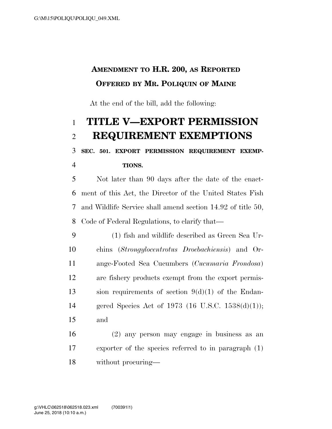## **AMENDMENT TO H.R. 200, AS REPORTED OFFERED BY MR. POLIQUIN OF MAINE**

At the end of the bill, add the following:

## **TITLE V—EXPORT PERMISSION REQUIREMENT EXEMPTIONS**

 **SEC. 501. EXPORT PERMISSION REQUIREMENT EXEMP-TIONS.** 

 Not later than 90 days after the date of the enact- ment of this Act, the Director of the United States Fish and Wildlife Service shall amend section 14.92 of title 50, Code of Federal Regulations, to clarify that—

 (1) fish and wildlife described as Green Sea Ur- chins (*Strongylocentrotus Droebachiensis*) and Or- ange-Footed Sea Cucumbers (*Cucumaria Frondosa*) are fishery products exempt from the export permis-13 sion requirements of section  $9(d)(1)$  of the Endan- gered Species Act of 1973 (16 U.S.C. 1538(d)(1)); and

 (2) any person may engage in business as an exporter of the species referred to in paragraph (1) without procuring—